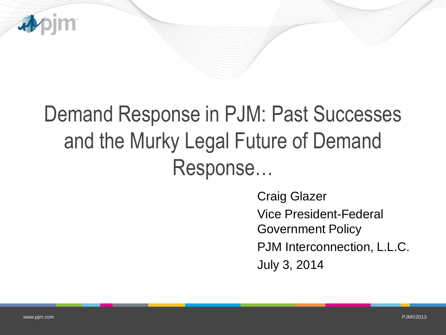

# Demand Response in PJM: Past Successes and the Murky Legal Future of Demand Response…

Craig Glazer Vice President-Federal Government Policy PJM Interconnection, L.L.C. July 3, 2014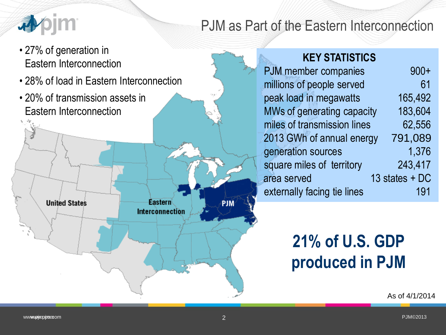

### PJM as Part of the Eastern Interconnection

• 27% of generation in Eastern Interconnection

**United States** 

• 28% of load in Eastern Interconnection

Eastern

Interconnection

• 20% of transmission assets in Eastern Interconnection

#### **KEY STATISTICS**

| <b>PJM</b> member companies | $900+$         |
|-----------------------------|----------------|
| millions of people served   | 61             |
| peak load in megawatts      | 165,492        |
| MWs of generating capacity  | 183,604        |
| miles of transmission lines | 62,556         |
| 2013 GWh of annual energy   | 791,089        |
| generation sources          | 1,376          |
| square miles of territory   | 243,417        |
| area served                 | 13 states + DC |
| externally facing tie lines | 191            |
|                             |                |

# **21% of U.S. GDP produced in PJM**

As of 4/1/2014

PJM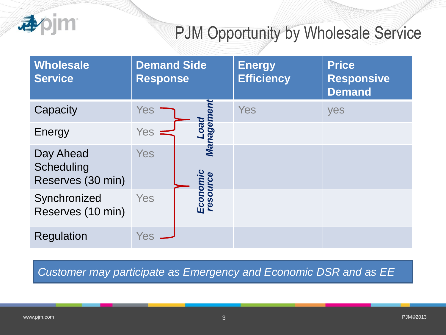

## PJM Opportunity by Wholesale Service

| <b>Wholesale</b><br><b>Service</b>           | <b>Demand Side</b><br><b>Response</b> |                      | <b>Energy</b><br><b>Efficiency</b> | <b>Price</b><br><b>Responsive</b><br><b>Demand</b> |
|----------------------------------------------|---------------------------------------|----------------------|------------------------------------|----------------------------------------------------|
| Capacity                                     | <b>Yes</b>                            |                      | Yes                                | yes                                                |
| Energy                                       | <b>Yes</b>                            | mebi<br>peo<br>Da    |                                    |                                                    |
| Day Ahead<br>Scheduling<br>Reserves (30 min) | <b>Yes</b>                            | Ma                   |                                    |                                                    |
| Synchronized<br>Reserves (10 min)            | Yes                                   | Economic<br>resource |                                    |                                                    |
| <b>Regulation</b>                            | <b>Yes</b>                            |                      |                                    |                                                    |

**Customer may participate as Emergency and Economic DSR and as EE**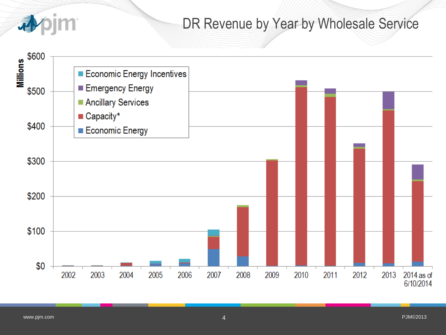

### DR Revenue by Year by Wholesale Service

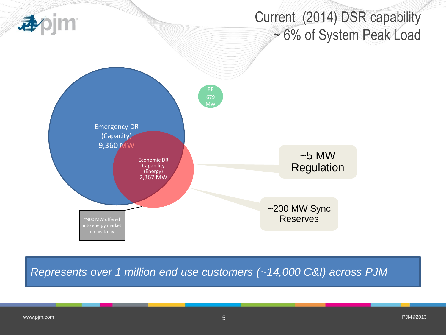

*Represents over 1 million end use customers (~14,000 C&I) across PJM*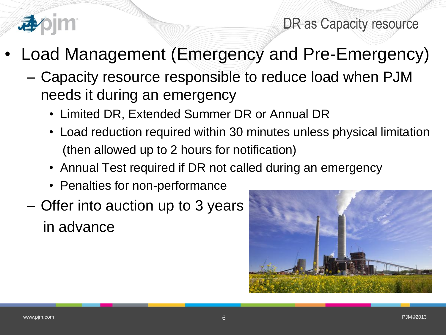

DR as Capacity resource

- Load Management (Emergency and Pre-Emergency)
	- Capacity resource responsible to reduce load when PJM needs it during an emergency
		- Limited DR, Extended Summer DR or Annual DR
		- Load reduction required within 30 minutes unless physical limitation (then allowed up to 2 hours for notification)
		- Annual Test required if DR not called during an emergency
		- Penalties for non-performance
	- Offer into auction up to 3 years in advance

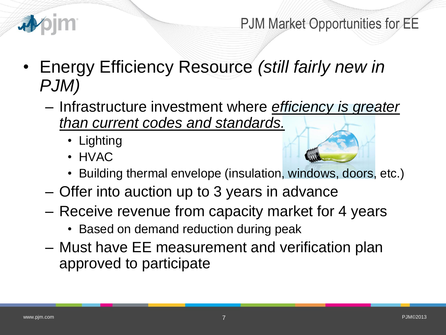

PJM Market Opportunities for EE

- Energy Efficiency Resource *(still fairly new in PJM)*
	- Infrastructure investment where *efficiency is greater than current codes and standards.*
		- Lighting
		- HVAC



- Offer into auction up to 3 years in advance
- Receive revenue from capacity market for 4 years
	- Based on demand reduction during peak
- Must have EE measurement and verification plan approved to participate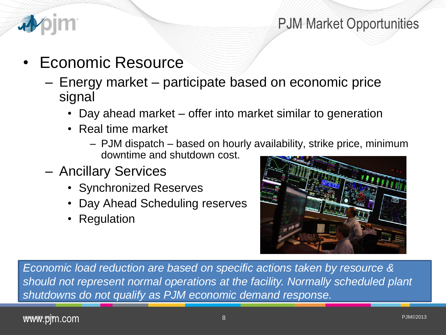

### PJM Market Opportunities

- Economic Resource
	- Energy market participate based on economic price signal
		- Day ahead market offer into market similar to generation
		- Real time market
			- PJM dispatch based on hourly availability, strike price, minimum downtime and shutdown cost.
	- Ancillary Services
		- Synchronized Reserves
		- Day Ahead Scheduling reserves
		- Regulation



*Economic load reduction are based on specific actions taken by resource & should not represent normal operations at the facility. Normally scheduled plant shutdowns do not qualify as PJM economic demand response.*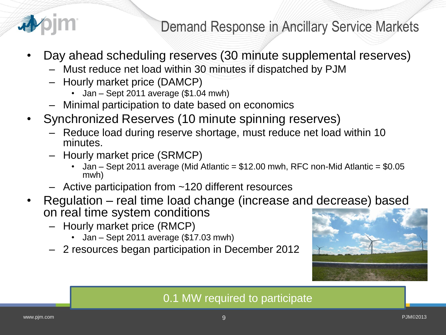

Demand Response in Ancillary Service Markets

- Day ahead scheduling reserves (30 minute supplemental reserves)
	- Must reduce net load within 30 minutes if dispatched by PJM
	- Hourly market price (DAMCP)
		- Jan Sept 2011 average (\$1.04 mwh)
	- Minimal participation to date based on economics
- Synchronized Reserves (10 minute spinning reserves)
	- Reduce load during reserve shortage, must reduce net load within 10 minutes.
	- Hourly market price (SRMCP)
		- Jan Sept 2011 average (Mid Atlantic = \$12.00 mwh, RFC non-Mid Atlantic = \$0.05 mwh)
	- Active participation from ~120 different resources
- Regulation real time load change (increase and decrease) based on real time system conditions
	- Hourly market price (RMCP)
		- Jan Sept 2011 average (\$17.03 mwh)
	- 2 resources began participation in December 2012



#### 0.1 MW required to participate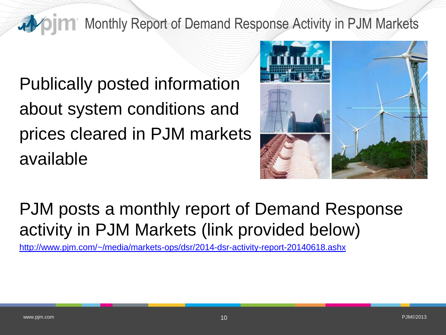### **Monthly Report of Demand Response Activity in PJM Markets**

Publically posted information about system conditions and prices cleared in PJM markets available



# PJM posts a monthly report of Demand Response activity in PJM Markets (link provided below)

<http://www.pjm.com/~/media/markets-ops/dsr/2014-dsr-activity-report-20140618.ashx>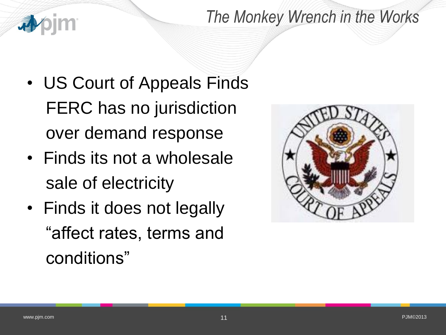### *The Monkey Wrench in the Works*

- US Court of Appeals Finds FERC has no jurisdiction over demand response
- Finds its not a wholesale sale of electricity
- Finds it does not legally "affect rates, terms and conditions"

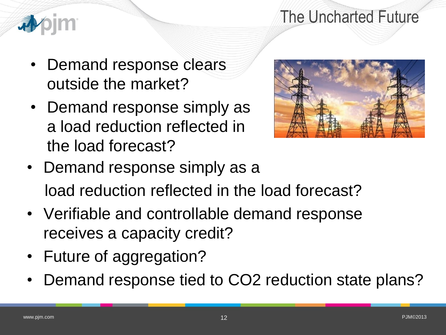### The Uncharted Future



- Demand response clears outside the market?
- Demand response simply as a load reduction reflected in the load forecast?



- Demand response simply as a load reduction reflected in the load forecast?
- Verifiable and controllable demand response receives a capacity credit?
- Future of aggregation?
- Demand response tied to CO2 reduction state plans?